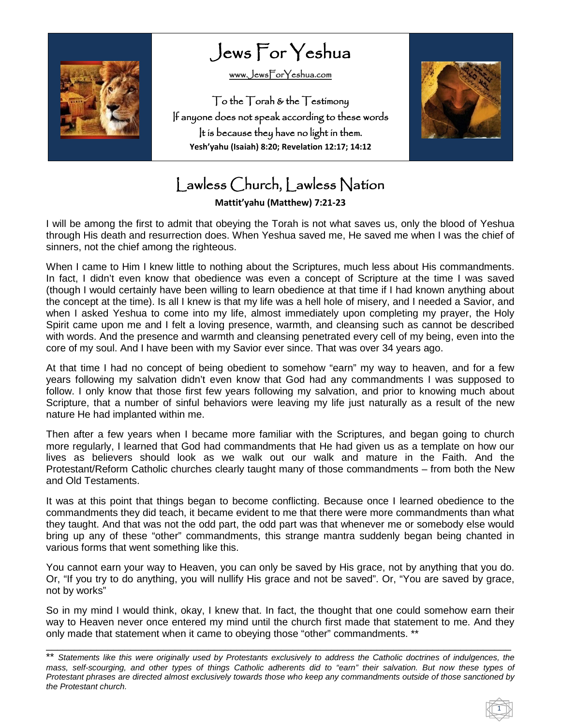

Jews For Yeshua

[www.JewsForYeshua.com](http://www.jewsforyeshua.com/) 

To the Torah & the Testimony If anyone does not speak according to these words It is because they have no light in them. **Yesh'yahu (Isaiah) 8:20; Revelation 12:17; 14:12**



## Lawless Church, Lawless Nation

**Mattit'yahu (Matthew) 7:21-23**

I will be among the first to admit that obeying the Torah is not what saves us, only the blood of Yeshua through His death and resurrection does. When Yeshua saved me, He saved me when I was the chief of sinners, not the chief among the righteous.

When I came to Him I knew little to nothing about the Scriptures, much less about His commandments. In fact, I didn't even know that obedience was even a concept of Scripture at the time I was saved (though I would certainly have been willing to learn obedience at that time if I had known anything about the concept at the time). Is all I knew is that my life was a hell hole of misery, and I needed a Savior, and when I asked Yeshua to come into my life, almost immediately upon completing my prayer, the Holy Spirit came upon me and I felt a loving presence, warmth, and cleansing such as cannot be described with words. And the presence and warmth and cleansing penetrated every cell of my being, even into the core of my soul. And I have been with my Savior ever since. That was over 34 years ago.

At that time I had no concept of being obedient to somehow "earn" my way to heaven, and for a few years following my salvation didn't even know that God had any commandments I was supposed to follow. I only know that those first few years following my salvation, and prior to knowing much about Scripture, that a number of sinful behaviors were leaving my life just naturally as a result of the new nature He had implanted within me.

Then after a few years when I became more familiar with the Scriptures, and began going to church more regularly, I learned that God had commandments that He had given us as a template on how our lives as believers should look as we walk out our walk and mature in the Faith. And the Protestant/Reform Catholic churches clearly taught many of those commandments – from both the New and Old Testaments.

It was at this point that things began to become conflicting. Because once I learned obedience to the commandments they did teach, it became evident to me that there were more commandments than what they taught. And that was not the odd part, the odd part was that whenever me or somebody else would bring up any of these "other" commandments, this strange mantra suddenly began being chanted in various forms that went something like this.

You cannot earn your way to Heaven, you can only be saved by His grace, not by anything that you do. Or, "If you try to do anything, you will nullify His grace and not be saved". Or, "You are saved by grace, not by works"

So in my mind I would think, okay, I knew that. In fact, the thought that one could somehow earn their way to Heaven never once entered my mind until the church first made that statement to me. And they only made that statement when it came to obeying those "other" commandments. \*\*

\_\_\_\_\_\_\_\_\_\_\_\_\_\_\_\_\_\_\_\_\_\_\_\_\_\_\_\_\_\_\_\_\_\_\_\_\_\_\_\_\_\_\_\_\_\_\_\_\_\_\_\_\_\_\_\_\_\_\_\_\_\_\_\_\_\_\_\_\_\_\_\_\_\_\_\_\_\_\_\_\_\_\_

<sup>\*\*</sup> *Statements like this were originally used by Protestants exclusively to address the Catholic doctrines of indulgences, the mass, self-scourging, and other types of things Catholic adherents did to "earn" their salvation. But now these types of Protestant phrases are directed almost exclusively towards those who keep any commandments outside of those sanctioned by the Protestant church.*

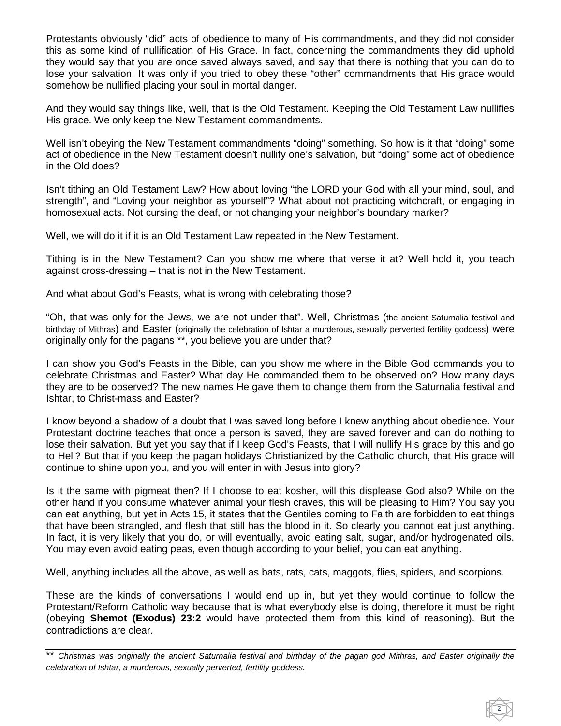Protestants obviously "did" acts of obedience to many of His commandments, and they did not consider this as some kind of nullification of His Grace. In fact, concerning the commandments they did uphold they would say that you are once saved always saved, and say that there is nothing that you can do to lose your salvation. It was only if you tried to obey these "other" commandments that His grace would somehow be nullified placing your soul in mortal danger.

And they would say things like, well, that is the Old Testament. Keeping the Old Testament Law nullifies His grace. We only keep the New Testament commandments.

Well isn't obeying the New Testament commandments "doing" something. So how is it that "doing" some act of obedience in the New Testament doesn't nullify one's salvation, but "doing" some act of obedience in the Old does?

Isn't tithing an Old Testament Law? How about loving "the LORD your God with all your mind, soul, and strength", and "Loving your neighbor as yourself"? What about not practicing witchcraft, or engaging in homosexual acts. Not cursing the deaf, or not changing your neighbor's boundary marker?

Well, we will do it if it is an Old Testament Law repeated in the New Testament.

Tithing is in the New Testament? Can you show me where that verse it at? Well hold it, you teach against cross-dressing – that is not in the New Testament.

And what about God's Feasts, what is wrong with celebrating those?

"Oh, that was only for the Jews, we are not under that". Well, Christmas (the ancient Saturnalia festival and birthday of Mithras) and Easter (originally the celebration of Ishtar a murderous, sexually perverted fertility goddess) were originally only for the pagans \*\*, you believe you are under that?

I can show you God's Feasts in the Bible, can you show me where in the Bible God commands you to celebrate Christmas and Easter? What day He commanded them to be observed on? How many days they are to be observed? The new names He gave them to change them from the Saturnalia festival and Ishtar, to Christ-mass and Easter?

I know beyond a shadow of a doubt that I was saved long before I knew anything about obedience. Your Protestant doctrine teaches that once a person is saved, they are saved forever and can do nothing to lose their salvation. But yet you say that if I keep God's Feasts, that I will nullify His grace by this and go to Hell? But that if you keep the pagan holidays Christianized by the Catholic church, that His grace will continue to shine upon you, and you will enter in with Jesus into glory?

Is it the same with pigmeat then? If I choose to eat kosher, will this displease God also? While on the other hand if you consume whatever animal your flesh craves, this will be pleasing to Him? You say you can eat anything, but yet in Acts 15, it states that the Gentiles coming to Faith are forbidden to eat things that have been strangled, and flesh that still has the blood in it. So clearly you cannot eat just anything. In fact, it is very likely that you do, or will eventually, avoid eating salt, sugar, and/or hydrogenated oils. You may even avoid eating peas, even though according to your belief, you can eat anything.

Well, anything includes all the above, as well as bats, rats, cats, maggots, flies, spiders, and scorpions.

These are the kinds of conversations I would end up in, but yet they would continue to follow the Protestant/Reform Catholic way because that is what everybody else is doing, therefore it must be right (obeying **Shemot (Exodus) 23:2** would have protected them from this kind of reasoning). But the contradictions are clear.

2

<sup>\*\*</sup> *Christmas was originally the ancient Saturnalia festival and birthday of the pagan god Mithras, and Easter originally the celebration of Ishtar, a murderous, sexually perverted, fertility goddess.*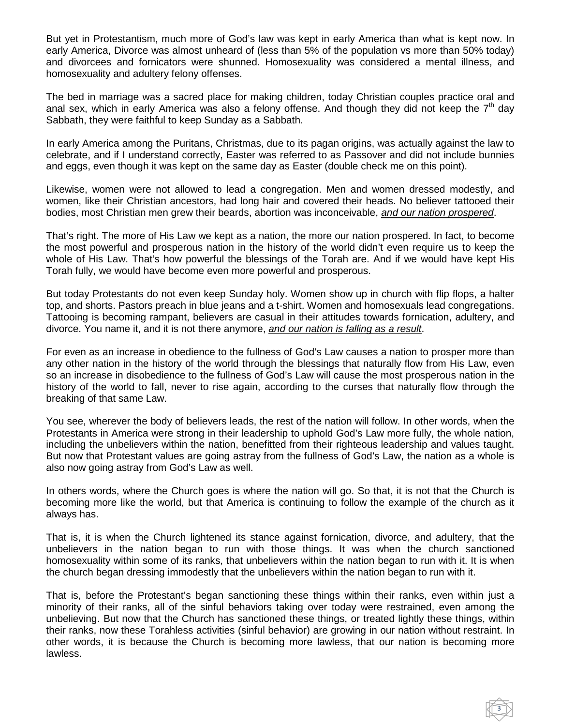But yet in Protestantism, much more of God's law was kept in early America than what is kept now. In early America, Divorce was almost unheard of (less than 5% of the population vs more than 50% today) and divorcees and fornicators were shunned. Homosexuality was considered a mental illness, and homosexuality and adultery felony offenses.

The bed in marriage was a sacred place for making children, today Christian couples practice oral and anal sex, which in early America was also a felony offense. And though they did not keep the  $7<sup>th</sup>$  day Sabbath, they were faithful to keep Sunday as a Sabbath.

In early America among the Puritans, Christmas, due to its pagan origins, was actually against the law to celebrate, and if I understand correctly, Easter was referred to as Passover and did not include bunnies and eggs, even though it was kept on the same day as Easter (double check me on this point).

Likewise, women were not allowed to lead a congregation. Men and women dressed modestly, and women, like their Christian ancestors, had long hair and covered their heads. No believer tattooed their bodies, most Christian men grew their beards, abortion was inconceivable, *and our nation prospered*.

That's right. The more of His Law we kept as a nation, the more our nation prospered. In fact, to become the most powerful and prosperous nation in the history of the world didn't even require us to keep the whole of His Law. That's how powerful the blessings of the Torah are. And if we would have kept His Torah fully, we would have become even more powerful and prosperous.

But today Protestants do not even keep Sunday holy. Women show up in church with flip flops, a halter top, and shorts. Pastors preach in blue jeans and a t-shirt. Women and homosexuals lead congregations. Tattooing is becoming rampant, believers are casual in their attitudes towards fornication, adultery, and divorce. You name it, and it is not there anymore, *and our nation is falling as a result*.

For even as an increase in obedience to the fullness of God's Law causes a nation to prosper more than any other nation in the history of the world through the blessings that naturally flow from His Law, even so an increase in disobedience to the fullness of God's Law will cause the most prosperous nation in the history of the world to fall, never to rise again, according to the curses that naturally flow through the breaking of that same Law.

You see, wherever the body of believers leads, the rest of the nation will follow. In other words, when the Protestants in America were strong in their leadership to uphold God's Law more fully, the whole nation, including the unbelievers within the nation, benefitted from their righteous leadership and values taught. But now that Protestant values are going astray from the fullness of God's Law, the nation as a whole is also now going astray from God's Law as well.

In others words, where the Church goes is where the nation will go. So that, it is not that the Church is becoming more like the world, but that America is continuing to follow the example of the church as it always has.

That is, it is when the Church lightened its stance against fornication, divorce, and adultery, that the unbelievers in the nation began to run with those things. It was when the church sanctioned homosexuality within some of its ranks, that unbelievers within the nation began to run with it. It is when the church began dressing immodestly that the unbelievers within the nation began to run with it.

That is, before the Protestant's began sanctioning these things within their ranks, even within just a minority of their ranks, all of the sinful behaviors taking over today were restrained, even among the unbelieving. But now that the Church has sanctioned these things, or treated lightly these things, within their ranks, now these Torahless activities (sinful behavior) are growing in our nation without restraint. In other words, it is because the Church is becoming more lawless, that our nation is becoming more lawless.

3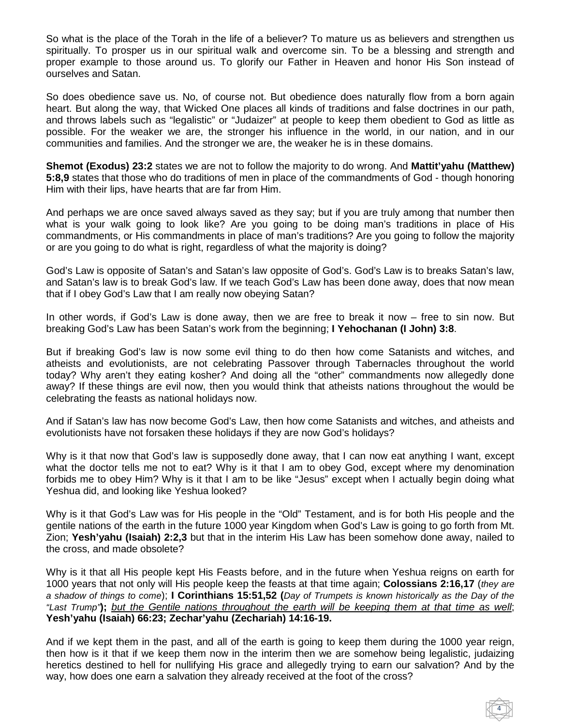So what is the place of the Torah in the life of a believer? To mature us as believers and strengthen us spiritually. To prosper us in our spiritual walk and overcome sin. To be a blessing and strength and proper example to those around us. To glorify our Father in Heaven and honor His Son instead of ourselves and Satan.

So does obedience save us. No, of course not. But obedience does naturally flow from a born again heart. But along the way, that Wicked One places all kinds of traditions and false doctrines in our path, and throws labels such as "legalistic" or "Judaizer" at people to keep them obedient to God as little as possible. For the weaker we are, the stronger his influence in the world, in our nation, and in our communities and families. And the stronger we are, the weaker he is in these domains.

**Shemot (Exodus) 23:2** states we are not to follow the majority to do wrong. And **Mattit'yahu (Matthew) 5:8,9** states that those who do traditions of men in place of the commandments of God - though honoring Him with their lips, have hearts that are far from Him.

And perhaps we are once saved always saved as they say; but if you are truly among that number then what is your walk going to look like? Are you going to be doing man's traditions in place of His commandments, or His commandments in place of man's traditions? Are you going to follow the majority or are you going to do what is right, regardless of what the majority is doing?

God's Law is opposite of Satan's and Satan's law opposite of God's. God's Law is to breaks Satan's law, and Satan's law is to break God's law. If we teach God's Law has been done away, does that now mean that if I obey God's Law that I am really now obeying Satan?

In other words, if God's Law is done away, then we are free to break it now – free to sin now. But breaking God's Law has been Satan's work from the beginning; **I Yehochanan (I John) 3:8**.

But if breaking God's law is now some evil thing to do then how come Satanists and witches, and atheists and evolutionists, are not celebrating Passover through Tabernacles throughout the world today? Why aren't they eating kosher? And doing all the "other" commandments now allegedly done away? If these things are evil now, then you would think that atheists nations throughout the would be celebrating the feasts as national holidays now.

And if Satan's law has now become God's Law, then how come Satanists and witches, and atheists and evolutionists have not forsaken these holidays if they are now God's holidays?

Why is it that now that God's law is supposedly done away, that I can now eat anything I want, except what the doctor tells me not to eat? Why is it that I am to obey God, except where my denomination forbids me to obey Him? Why is it that I am to be like "Jesus" except when I actually begin doing what Yeshua did, and looking like Yeshua looked?

Why is it that God's Law was for His people in the "Old" Testament, and is for both His people and the gentile nations of the earth in the future 1000 year Kingdom when God's Law is going to go forth from Mt. Zion; **Yesh'yahu (Isaiah) 2:2,3** but that in the interim His Law has been somehow done away, nailed to the cross, and made obsolete?

Why is it that all His people kept His Feasts before, and in the future when Yeshua reigns on earth for 1000 years that not only will His people keep the feasts at that time again; **Colossians 2:16,17** (*they are a shadow of things to come*); **I Corinthians 15:51,52 (***Day of Trumpets is known historically as the Day of the "Last Trump"***);** *but the Gentile nations throughout the earth will be keeping them at that time as well*; **Yesh'yahu (Isaiah) 66:23; Zechar'yahu (Zechariah) 14:16-19.**

And if we kept them in the past, and all of the earth is going to keep them during the 1000 year reign, then how is it that if we keep them now in the interim then we are somehow being legalistic, judaizing heretics destined to hell for nullifying His grace and allegedly trying to earn our salvation? And by the way, how does one earn a salvation they already received at the foot of the cross?

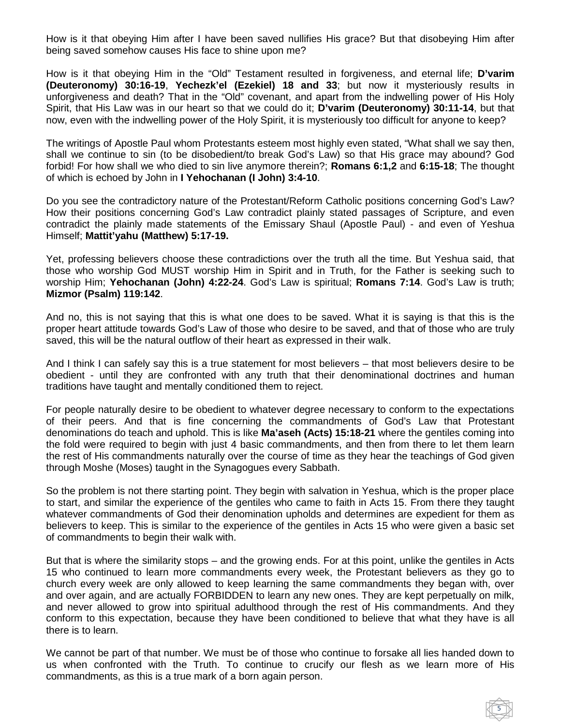How is it that obeying Him after I have been saved nullifies His grace? But that disobeying Him after being saved somehow causes His face to shine upon me?

How is it that obeying Him in the "Old" Testament resulted in forgiveness, and eternal life; **D'varim (Deuteronomy) 30:16-19**, **Yechezk'el (Ezekiel) 18 and 33**; but now it mysteriously results in unforgiveness and death? That in the "Old" covenant, and apart from the indwelling power of His Holy Spirit, that His Law was in our heart so that we could do it; **D'varim (Deuteronomy) 30:11-14**, but that now, even with the indwelling power of the Holy Spirit, it is mysteriously too difficult for anyone to keep?

The writings of Apostle Paul whom Protestants esteem most highly even stated, "What shall we say then, shall we continue to sin (to be disobedient/to break God's Law) so that His grace may abound? God forbid! For how shall we who died to sin live anymore therein?; **Romans 6:1,2** and **6:15-18**; The thought of which is echoed by John in **I Yehochanan (I John) 3:4-10**.

Do you see the contradictory nature of the Protestant/Reform Catholic positions concerning God's Law? How their positions concerning God's Law contradict plainly stated passages of Scripture, and even contradict the plainly made statements of the Emissary Shaul (Apostle Paul) - and even of Yeshua Himself; **Mattit'yahu (Matthew) 5:17-19.**

Yet, professing believers choose these contradictions over the truth all the time. But Yeshua said, that those who worship God MUST worship Him in Spirit and in Truth, for the Father is seeking such to worship Him; **Yehochanan (John) 4:22-24**. God's Law is spiritual; **Romans 7:14**. God's Law is truth; **Mizmor (Psalm) 119:142**.

And no, this is not saying that this is what one does to be saved. What it is saying is that this is the proper heart attitude towards God's Law of those who desire to be saved, and that of those who are truly saved, this will be the natural outflow of their heart as expressed in their walk.

And I think I can safely say this is a true statement for most believers – that most believers desire to be obedient - until they are confronted with any truth that their denominational doctrines and human traditions have taught and mentally conditioned them to reject.

For people naturally desire to be obedient to whatever degree necessary to conform to the expectations of their peers. And that is fine concerning the commandments of God's Law that Protestant denominations do teach and uphold. This is like **Ma'aseh (Acts) 15:18-21** where the gentiles coming into the fold were required to begin with just 4 basic commandments, and then from there to let them learn the rest of His commandments naturally over the course of time as they hear the teachings of God given through Moshe (Moses) taught in the Synagogues every Sabbath.

So the problem is not there starting point. They begin with salvation in Yeshua, which is the proper place to start, and similar the experience of the gentiles who came to faith in Acts 15. From there they taught whatever commandments of God their denomination upholds and determines are expedient for them as believers to keep. This is similar to the experience of the gentiles in Acts 15 who were given a basic set of commandments to begin their walk with.

But that is where the similarity stops – and the growing ends. For at this point, unlike the gentiles in Acts 15 who continued to learn more commandments every week, the Protestant believers as they go to church every week are only allowed to keep learning the same commandments they began with, over and over again, and are actually FORBIDDEN to learn any new ones. They are kept perpetually on milk, and never allowed to grow into spiritual adulthood through the rest of His commandments. And they conform to this expectation, because they have been conditioned to believe that what they have is all there is to learn.

We cannot be part of that number. We must be of those who continue to forsake all lies handed down to us when confronted with the Truth. To continue to crucify our flesh as we learn more of His commandments, as this is a true mark of a born again person.